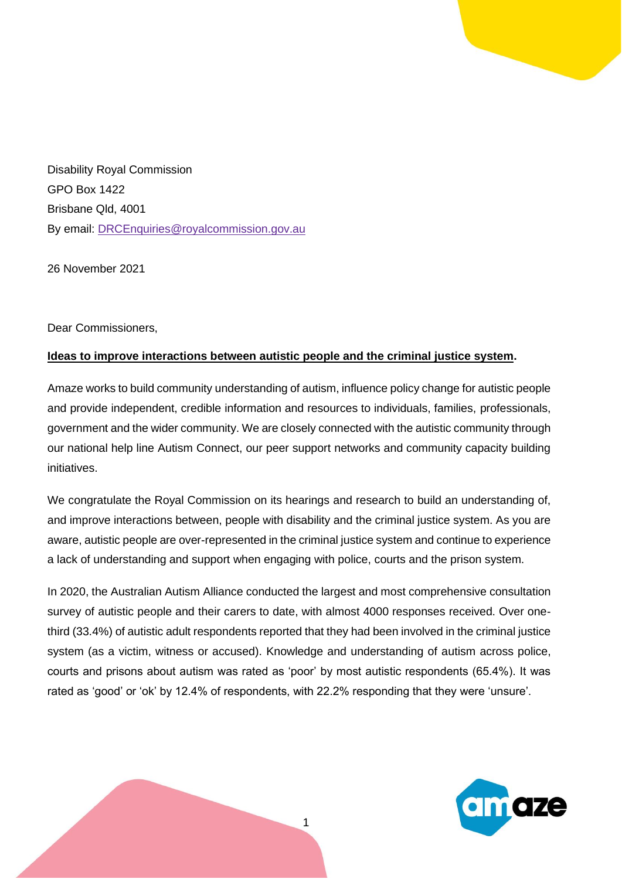

Disability Royal Commission GPO Box 1422 Brisbane Qld, 4001 By email: [DRCEnquiries@royalcommission.gov.au](mailto:DRCEnquiries@royalcommission.gov.au)

26 November 2021

Dear Commissioners,

## **Ideas to improve interactions between autistic people and the criminal justice system.**

Amaze works to build community understanding of autism, influence policy change for autistic people and provide independent, credible information and resources to individuals, families, professionals, government and the wider community. We are closely connected with the autistic community through our national help line Autism Connect, our peer support networks and community capacity building initiatives.

We congratulate the Royal Commission on its hearings and research to build an understanding of, and improve interactions between, people with disability and the criminal justice system. As you are aware, autistic people are over-represented in the criminal justice system and continue to experience a lack of understanding and support when engaging with police, courts and the prison system.

In 2020, the Australian Autism Alliance conducted the largest and most comprehensive consultation survey of autistic people and their carers to date, with almost 4000 responses received. Over onethird (33.4%) of autistic adult respondents reported that they had been involved in the criminal justice system (as a victim, witness or accused). Knowledge and understanding of autism across police, courts and prisons about autism was rated as 'poor' by most autistic respondents (65.4%). It was rated as 'good' or 'ok' by 12.4% of respondents, with 22.2% responding that they were 'unsure'.

1

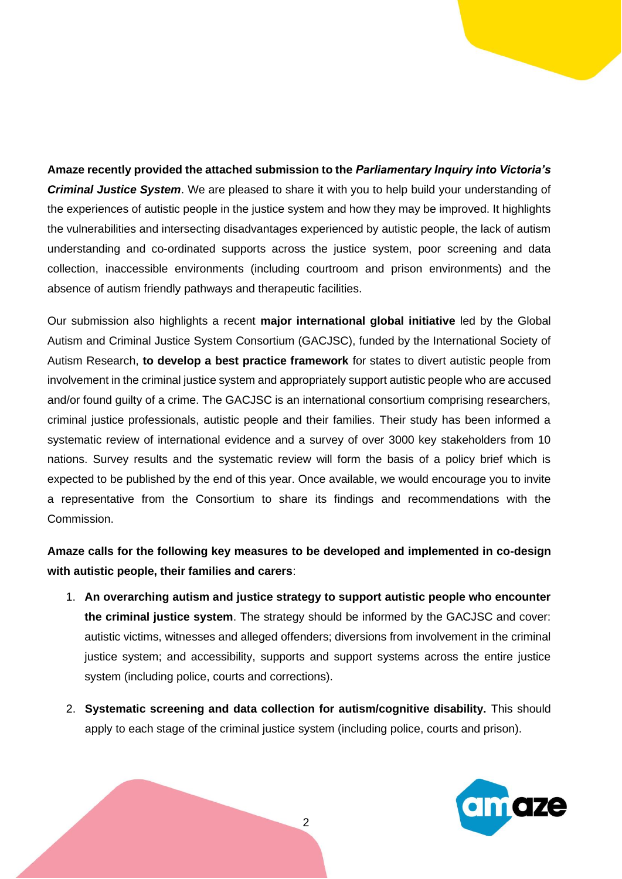**Amaze recently provided the attached submission to the** *Parliamentary Inquiry into Victoria's Criminal Justice System*. We are pleased to share it with you to help build your understanding of the experiences of autistic people in the justice system and how they may be improved. It highlights the vulnerabilities and intersecting disadvantages experienced by autistic people, the lack of autism understanding and co-ordinated supports across the justice system, poor screening and data collection, inaccessible environments (including courtroom and prison environments) and the absence of autism friendly pathways and therapeutic facilities.

Our submission also highlights a recent **major international global initiative** led by the Global Autism and Criminal Justice System Consortium (GACJSC), funded by the International Society of Autism Research, **to develop a best practice framework** for states to divert autistic people from involvement in the criminal justice system and appropriately support autistic people who are accused and/or found guilty of a crime. The GACJSC is an international consortium comprising researchers, criminal justice professionals, autistic people and their families. Their study has been informed a systematic review of international evidence and a survey of over 3000 key stakeholders from 10 nations. Survey results and the systematic review will form the basis of a policy brief which is expected to be published by the end of this year. Once available, we would encourage you to invite a representative from the Consortium to share its findings and recommendations with the Commission.

## **Amaze calls for the following key measures to be developed and implemented in co-design with autistic people, their families and carers**:

- 1. **An overarching autism and justice strategy to support autistic people who encounter the criminal justice system**. The strategy should be informed by the GACJSC and cover: autistic victims, witnesses and alleged offenders; diversions from involvement in the criminal justice system; and accessibility, supports and support systems across the entire justice system (including police, courts and corrections).
- 2. **Systematic screening and data collection for autism/cognitive disability.** This should apply to each stage of the criminal justice system (including police, courts and prison).



2